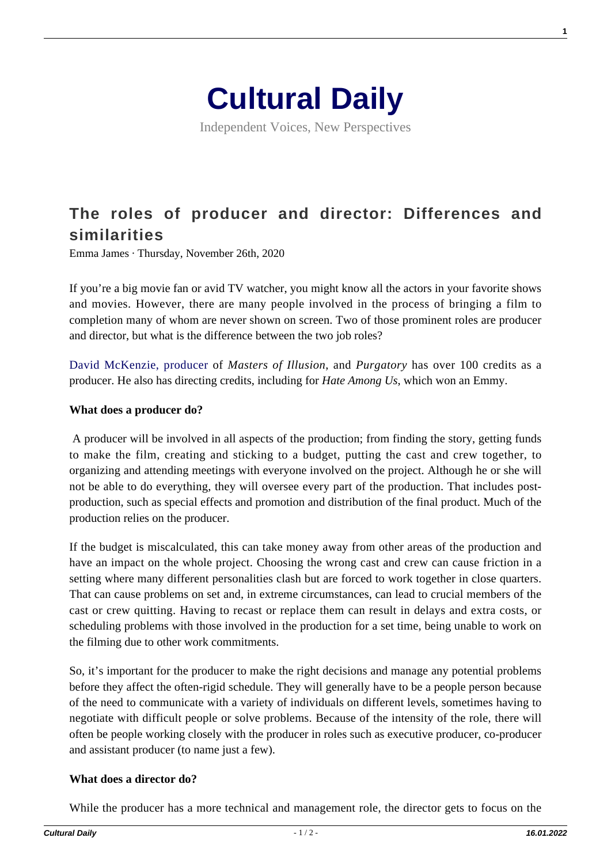

Independent Voices, New Perspectives

# **[The roles of producer and director: Differences and](https://culturaldaily.com/the-roles-of-producer-and-director-differences-and-similarities/) [similarities](https://culturaldaily.com/the-roles-of-producer-and-director-differences-and-similarities/)**

Emma James · Thursday, November 26th, 2020

If you're a big movie fan or avid TV watcher, you might know all the actors in your favorite shows and movies. However, there are many people involved in the process of bringing a film to completion many of whom are never shown on screen. Two of those prominent roles are producer and director, but what is the difference between the two job roles?

[David McKenzie, producer](https://architectsofdenial.com/about/david-mckenzie/) of *Masters of Illusion*, and *Purgatory* has over 100 credits as a producer. He also has directing credits, including for *Hate Among Us*, which won an Emmy.

#### **What does a producer do?**

A producer will be involved in all aspects of the production; from finding the story, getting funds to make the film, creating and sticking to a budget, putting the cast and crew together, to organizing and attending meetings with everyone involved on the project. Although he or she will not be able to do everything, they will oversee every part of the production. That includes postproduction, such as special effects and promotion and distribution of the final product. Much of the production relies on the producer.

If the budget is miscalculated, this can take money away from other areas of the production and have an impact on the whole project. Choosing the wrong cast and crew can cause friction in a setting where many different personalities clash but are forced to work together in close quarters. That can cause problems on set and, in extreme circumstances, can lead to crucial members of the cast or crew quitting. Having to recast or replace them can result in delays and extra costs, or scheduling problems with those involved in the production for a set time, being unable to work on the filming due to other work commitments.

So, it's important for the producer to make the right decisions and manage any potential problems before they affect the often-rigid schedule. They will generally have to be a people person because of the need to communicate with a variety of individuals on different levels, sometimes having to negotiate with difficult people or solve problems. Because of the intensity of the role, there will often be people working closely with the producer in roles such as executive producer, co-producer and assistant producer (to name just a few).

#### **What does a director do?**

While the producer has a more technical and management role, the director gets to focus on the

**1**